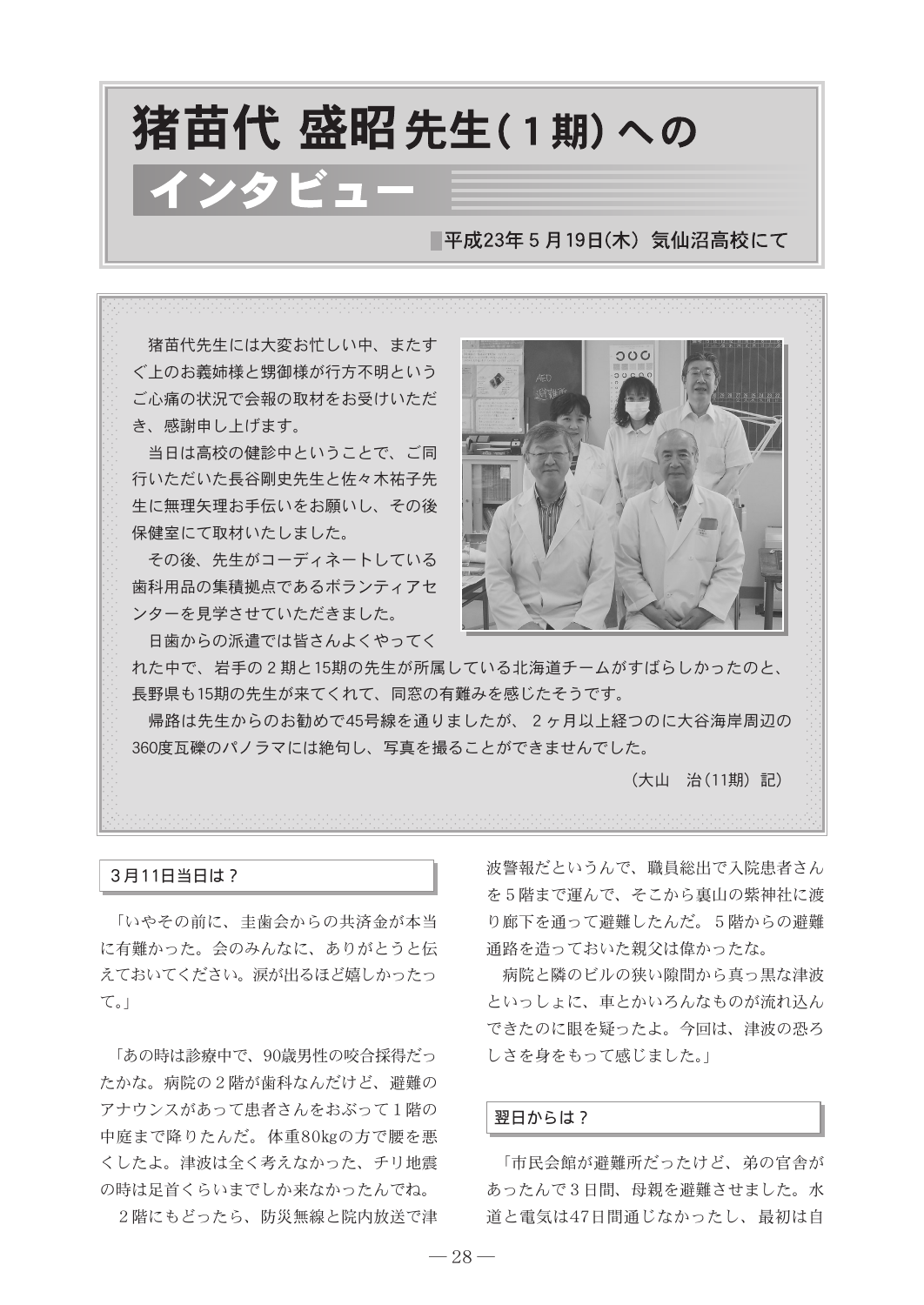# 猪苗代 盛昭先生(1期)への インタビュー ■平成23年5月19日(木) 気仙沼高校にて

猪苗代先生には大変お忙しい中、またす ぐ上のお義姉様と甥御様が行方不明という ご心痛の状況で会報の取材をお受けいただ き、感謝申し上げます。

当日は高校の健診中ということで、ご同 行いただいた長谷剛史先生と佐々木祐子先 生に無理矢理お手伝いをお願いし、その後 保健室にて取材いたしました。

その後、先生がコーディネートしている 歯科用品の集積拠点であるボランティアセ ンターを見学させていただきました。

日歯からの派遣では皆さんよくやってく



れた中で、岩手の2期と15期の先生が所属している北海道チームがすばらしかったのと、 長野県も15期の先生が来てくれて、同窓の有難みを感じたそうです。

帰路は先生からのお勧めで45号線を通りましたが、2ヶ月以上経つのに大谷海岸周辺の 360度瓦礫のパノラマには絶句し、写真を撮ることができませんでした。

(大山 治(11期)記)

### 3月11日当日は?

「いやその前に、圭歯会からの共済金が本当 に有難かった。会のみんなに、ありがとうと伝 えておいてください。涙が出るほど嬉しかったっ て。」

「あの時は診療中で、90歳男性の咬合採得だっ たかな。病院の2階が歯科なんだけど、避難の アナウンスがあって患者さんをおぶって1階の 中庭まで降りたんだ。体重80kgの方で腰を悪 くしたよ。津波は全く考えなかった、チリ地震 の時は足首くらいまでしか来なかったんでね。

2階にもどったら、防災無線と院内放送で津

波警報だというんで、職員総出で入院患者さん を5階まで運んで、そこから裏山の紫神社に渡 り廊下を通って避難したんだ。5階からの避難 通路を造っておいた親父は偉かったな。

病院と隣のビルの狭い隙間から真っ黒な津波 といっしょに、車とかいろんなものが流れ込ん できたのに眼を疑ったよ。今回は、津波の恐ろ しさを身をもって感じました。」

# 翌日からは?

「市民会館が避難所だったけど、弟の官舎が あったんで3日間、母親を避難させました。水 道と電気は47日間通じなかったし、最初は自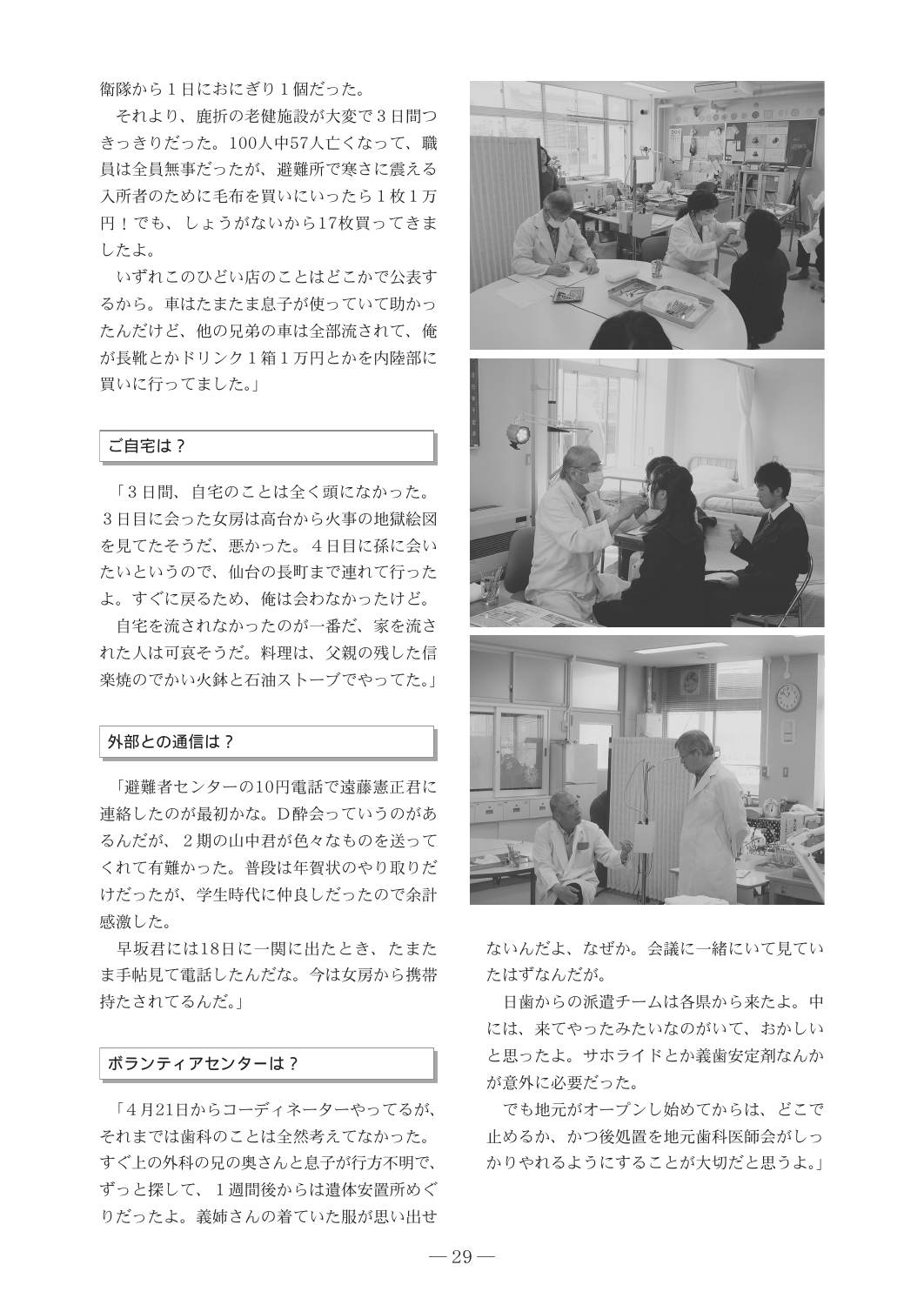衛隊から1日におにぎり1個だった。

それより、鹿折の老健施設が大変で3日間つ きっきりだった。100人中57人亡くなって、職 員は全員無事だったが、避難所で寒さに震える 入所者のために毛布を買いにいったら1枚1万 円!でも、しょうがないから17枚買ってきま したよ。

いずれこのひどい店のことはどこかで公表す るから。車はたまたま息子が使っていて助かっ たんだけど、他の兄弟の車は全部流されて、俺 が長靴とかドリンク1箱1万円とかを内陸部に 買いに行ってました。」

# ご自宅は?

「3日間、自宅のことは全く頭になかった。 3日目に会った女房は高台から火事の地獄絵図 を見てたそうだ、悪かった。4日目に孫に会い たいというので、仙台の長町まで連れて行った よ。すぐに戻るため、俺は会わなかったけど。

自宅を流されなかったのが一番だ、家を流さ れた人は可哀そうだ。料理は、父親の残した信 楽焼のでかい火鉢と石油ストーブでやってた。

#### 外部との通信は?

「避難者センターの10円電話で遠藤憲正君に 連絡したのが最初かな。D酔会っていうのがあ るんだが、2期の山中君が色々なものを送って くれて有難かった。普段は年賀状のやり取りだ けだったが、学生時代に仲良しだったので余計 感激した。

早坂君には18日に一関に出たとき、たまた ま手帖見て電話したんだな。今は女房から携帯 持たされてるんだ。」

### ボランティアセンターは?

「4月21日からコーディネーターやってるが、 それまでは歯科のことは全然考えてなかった。 すぐ上の外科の兄の奥さんと息子が行方不明で、 ずっと探して、1週間後からは遺体安置所めぐ りだったよ。義姉さんの着ていた服が思い出せ





ないんだよ、なぜか。会議に一緒にいて見てい たはずなんだが。

日歯からの派遣チームは各県から来たよ。中 には、来てやったみたいなのがいて、おかしい と思ったよ。サホライドとか義歯安定剤なんか が意外に必要だった。

でも地元がオープンし始めてからは、どこで 止めるか、かつ後処置を地元歯科医師会がしっ かりやれるようにすることが大切だと思うよ。」